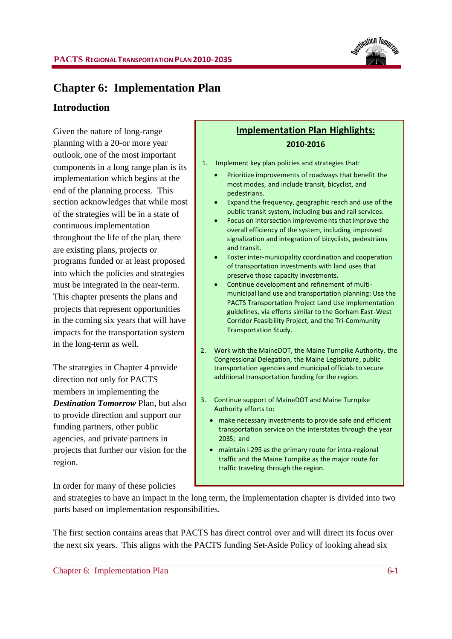

# **Chapter 6: Implementation Plan**

### **Introduction**

Given the nature of long-range planning with a 20-or more year outlook, one of the most important components in a long range plan is its implementation which begins at the end of the planning process. This section acknowledges that while most of the strategies will be in a state of continuous implementation throughout the life of the plan, there are existing plans, projects or programs funded or at least proposed into which the policies and strategies must be integrated in the near-term. This chapter presents the plans and projects that represent opportunities in the coming six years that will have impacts for the transportation system in the long-term as well.

The strategies in Chapter 4 provide direction not only for PACTS members in implementing the *Destination Tomorrow* Plan, but also to provide direction and support our funding partners, other public agencies, and private partners in projects that further our vision for the region.

In order for many of these policies

# **Implementation Plan Highlights: 2010-2016**

- 1. Implement key plan policies and strategies that:
	- Prioritize improvements of roadways that benefit the most modes, and include transit, bicyclist, and pedestrians.
	- Expand the frequency, geographic reach and use of the public transit system, including bus and rail services.
	- Focus on intersection improvements thatimprove the overall efficiency of the system, including improved signalization and integration of bicyclists, pedestrians and transit.
	- Foster inter-municipality coordination and cooperation of transportation investments with land uses that preserve those capacity investments.
	- Continue development and refinement of multimunicipal land use and transportation planning: Use the PACTS Transportation Project Land Use implementation guidelines, via efforts similar to the Gorham East-West Corridor Feasibility Project, and the Tri-Community Transportation Study.
- 2. Work with the MaineDOT, the Maine Turnpike Authority, the Congressional Delegation, the Maine Legislature, public transportation agencies and municipal officials to secure additional transportation funding for the region.
- 3. Continue support of MaineDOT and Maine Turnpike Authority efforts to:
	- make necessary investments to provide safe and efficient transportation service on the interstates through the year 2035; and
	- maintain I-295 as the primary route for intra-regional traffic and the Maine Turnpike as the major route for traffic traveling through the region.

and strategies to have an impact in the long term, the Implementation chapter is divided into two parts based on implementation responsibilities.

The first section contains areas that PACTS has direct control over and will direct its focus over the next six years. This aligns with the PACTS funding Set-Aside Policy of looking ahead six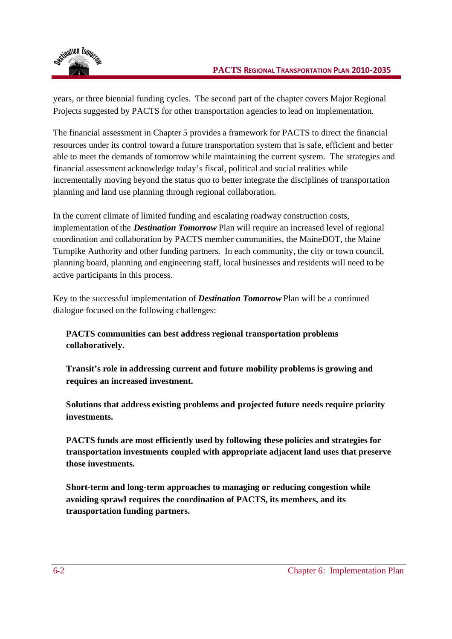

years, or three biennial funding cycles. The second part of the chapter covers Major Regional Projects suggested by PACTS for other transportation agencies to lead on implementation.

The financial assessment in Chapter 5 provides a framework for PACTS to direct the financial resources under its control toward a future transportation system that is safe, efficient and better able to meet the demands of tomorrow while maintaining the current system. The strategies and financial assessment acknowledge today's fiscal, political and social realities while incrementally moving beyond the status quo to better integrate the disciplines of transportation planning and land use planning through regional collaboration.

In the current climate of limited funding and escalating roadway construction costs, implementation of the *Destination Tomorrow* Plan will require an increased level of regional coordination and collaboration by PACTS member communities, the MaineDOT, the Maine Turnpike Authority and other funding partners. In each community, the city or town council, planning board, planning and engineering staff, local businesses and residents will need to be active participants in this process.

Key to the successful implementation of *Destination Tomorrow* Plan will be a continued dialogue focused on the following challenges:

**PACTS communities can best address regional transportation problems collaboratively.**

**Transit's role in addressing current and future mobility problems is growing and requires an increased investment.**

**Solutions that address existing problems and projected future needs require priority investments.**

**PACTS funds are most efficiently used by following these policies and strategies for transportation investments coupled with appropriate adjacent land uses that preserve those investments.**

**Short-term and long-term approaches to managing or reducing congestion while avoiding sprawl requires the coordination of PACTS, its members, and its transportation funding partners.**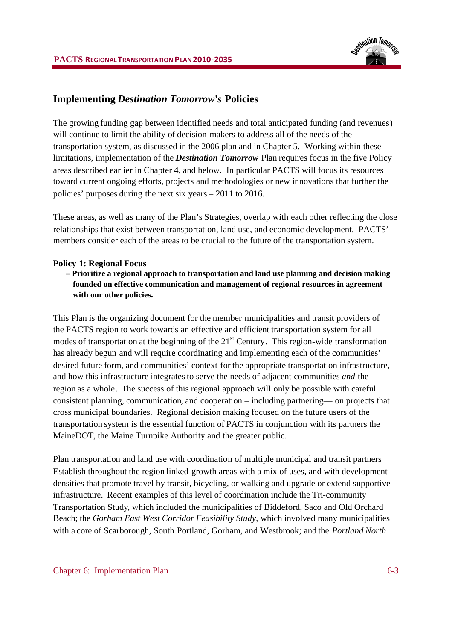

# **Implementing** *Destination Tomorrow's* **Policies**

The growing funding gap between identified needs and total anticipated funding (and revenues) will continue to limit the ability of decision-makers to address all of the needs of the transportation system, as discussed in the 2006 plan and in Chapter 5. Working within these limitations, implementation of the *Destination Tomorrow* Plan requires focus in the five Policy areas described earlier in Chapter 4, and below. In particular PACTS will focus its resources toward current ongoing efforts, projects and methodologies or new innovations that further the policies' purposes during the next six years – 2011 to 2016.

These areas, as well as many of the Plan's Strategies, overlap with each other reflecting the close relationships that exist between transportation, land use, and economic development. PACTS' members consider each of the areas to be crucial to the future of the transportation system.

#### **Policy 1: Regional Focus**

### **– Prioritize a regional approach to transportation and land use planning and decision making founded on effective communication and management of regional resources in agreement with our other policies.**

This Plan is the organizing document for the member municipalities and transit providers of the PACTS region to work towards an effective and efficient transportation system for all modes of transportation at the beginning of the  $21<sup>st</sup>$  Century. This region-wide transformation has already begun and will require coordinating and implementing each of the communities' desired future form, and communities' context for the appropriate transportation infrastructure, and how this infrastructure integrates to serve the needs of adjacent communities *and* the region as a whole. The success of this regional approach will only be possible with careful consistent planning, communication, and cooperation – including partnering— on projects that cross municipal boundaries. Regional decision making focused on the future users of the transportation system is the essential function of PACTS in conjunction with its partners the MaineDOT, the Maine Turnpike Authority and the greater public.

Plan transportation and land use with coordination of multiple municipal and transit partners Establish throughout the region linked growth areas with a mix of uses, and with development densities that promote travel by transit, bicycling, or walking and upgrade or extend supportive infrastructure. Recent examples of this level of coordination include the Tri-community Transportation Study, which included the municipalities of Biddeford, Saco and Old Orchard Beach; the *Gorham East West Corridor Feasibility Study*, which involved many municipalities with a core of Scarborough, South Portland, Gorham, and Westbrook; and the *Portland North*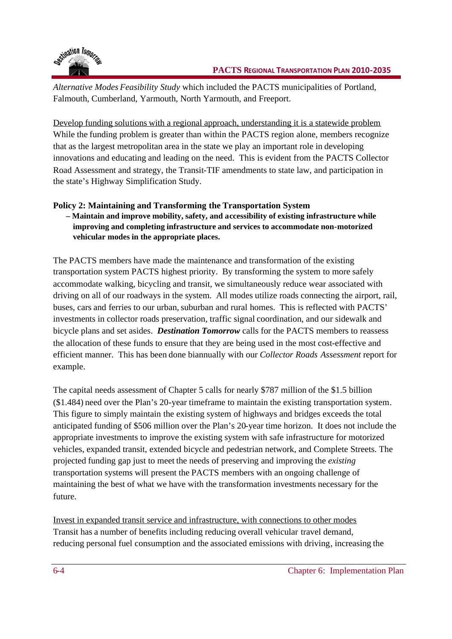

*Alternative Modes Feasibility Study* which included the PACTS municipalities of Portland, Falmouth, Cumberland, Yarmouth, North Yarmouth, and Freeport.

Develop funding solutions with a regional approach, understanding it is a statewide problem While the funding problem is greater than within the PACTS region alone, members recognize that as the largest metropolitan area in the state we play an important role in developing innovations and educating and leading on the need. This is evident from the PACTS Collector Road Assessment and strategy, the Transit-TIF amendments to state law, and participation in the state's Highway Simplification Study.

# **Policy 2: Maintaining and Transforming the Transportation System**

### **– Maintain and improve mobility, safety, and accessibility of existing infrastructure while improving and completing infrastructure and services to accommodate non-motorized vehicular modes in the appropriate places.**

The PACTS members have made the maintenance and transformation of the existing transportation system PACTS highest priority. By transforming the system to more safely accommodate walking, bicycling and transit, we simultaneously reduce wear associated with driving on all of our roadways in the system. All modes utilize roads connecting the airport, rail, buses, cars and ferries to our urban, suburban and rural homes. This is reflected with PACTS' investments in collector roads preservation, traffic signal coordination, and our sidewalk and bicycle plans and set asides. *Destination Tomorrow* calls for the PACTS members to reassess the allocation of these funds to ensure that they are being used in the most cost-effective and efficient manner. This has been done biannually with our *Collector Roads Assessment* report for example.

The capital needs assessment of Chapter 5 calls for nearly \$787 million of the \$1.5 billion (\$1.484) need over the Plan's 20-year timeframe to maintain the existing transportation system. This figure to simply maintain the existing system of highways and bridges exceeds the total anticipated funding of \$506 million over the Plan's 20-year time horizon. It does not include the appropriate investments to improve the existing system with safe infrastructure for motorized vehicles, expanded transit, extended bicycle and pedestrian network, and Complete Streets. The projected funding gap just to meet the needs of preserving and improving the *existing* transportation systems will present the PACTS members with an ongoing challenge of maintaining the best of what we have with the transformation investments necessary for the future.

Invest in expanded transit service and infrastructure, with connections to other modes Transit has a number of benefits including reducing overall vehicular travel demand, reducing personal fuel consumption and the associated emissions with driving, increasing the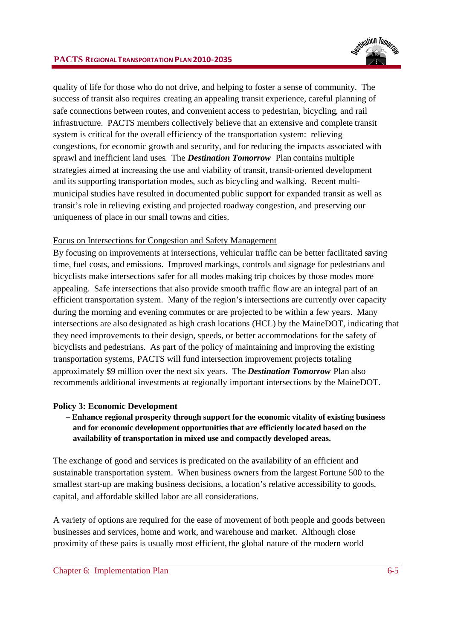

quality of life for those who do not drive, and helping to foster a sense of community. The success of transit also requires creating an appealing transit experience, careful planning of safe connections between routes, and convenient access to pedestrian, bicycling, and rail infrastructure. PACTS members collectively believe that an extensive and complete transit system is critical for the overall efficiency of the transportation system: relieving congestions, for economic growth and security, and for reducing the impacts associated with sprawl and inefficient land uses. The *Destination Tomorrow* Plan contains multiple strategies aimed at increasing the use and viability of transit, transit-oriented development and its supporting transportation modes, such as bicycling and walking. Recent multimunicipal studies have resulted in documented public support for expanded transit as well as transit's role in relieving existing and projected roadway congestion, and preserving our uniqueness of place in our small towns and cities.

### Focus on Intersections for Congestion and Safety Management

By focusing on improvements at intersections, vehicular traffic can be better facilitated saving time, fuel costs, and emissions. Improved markings, controls and signage for pedestrians and bicyclists make intersections safer for all modes making trip choices by those modes more appealing. Safe intersections that also provide smooth traffic flow are an integral part of an efficient transportation system. Many of the region's intersections are currently over capacity during the morning and evening commutes or are projected to be within a few years. Many intersections are also designated as high crash locations (HCL) by the MaineDOT, indicating that they need improvements to their design, speeds, or better accommodations for the safety of bicyclists and pedestrians. As part of the policy of maintaining and improving the existing transportation systems, PACTS will fund intersection improvement projects totaling approximately \$9 million over the next six years. The *Destination Tomorrow* Plan also recommends additional investments at regionally important intersections by the MaineDOT.

#### **Policy 3: Economic Development**

**– Enhance regional prosperity through support for the economic vitality of existing business and for economic development opportunities that are efficiently located based on the availability of transportation in mixed use and compactly developed areas.**

The exchange of good and services is predicated on the availability of an efficient and sustainable transportation system. When business owners from the largest Fortune 500 to the smallest start-up are making business decisions, a location's relative accessibility to goods, capital, and affordable skilled labor are all considerations.

A variety of options are required for the ease of movement of both people and goods between businesses and services, home and work, and warehouse and market. Although close proximity of these pairs is usually most efficient, the global nature of the modern world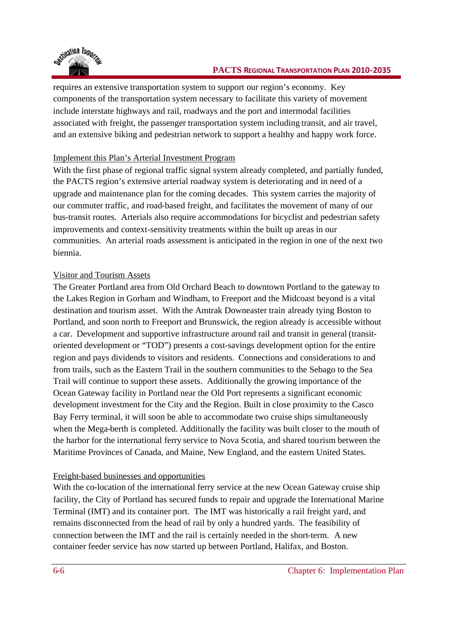

#### **PACTS REGIONAL TRANSPORTATION PLAN 2010-2035**

requires an extensive transportation system to support our region's economy. Key components of the transportation system necessary to facilitate this variety of movement include interstate highways and rail, roadways and the port and intermodal facilities associated with freight, the passenger transportation system including transit, and air travel, and an extensive biking and pedestrian network to support a healthy and happy work force.

### Implement this Plan's Arterial Investment Program

With the first phase of regional traffic signal system already completed, and partially funded, the PACTS region's extensive arterial roadway system is deteriorating and in need of a upgrade and maintenance plan for the coming decades. This system carries the majority of our commuter traffic, and road-based freight, and facilitates the movement of many of our bus-transit routes. Arterials also require accommodations for bicyclist and pedestrian safety improvements and context-sensitivity treatments within the built up areas in our communities. An arterial roads assessment is anticipated in the region in one of the next two biennia.

### Visitor and Tourism Assets

The Greater Portland area from Old Orchard Beach to downtown Portland to the gateway to the Lakes Region in Gorham and Windham, to Freeport and the Midcoast beyond is a vital destination and tourism asset. With the Amtrak Downeaster train already tying Boston to Portland, and soon north to Freeport and Brunswick, the region already is accessible without a car. Development and supportive infrastructure around rail and transit in general (transitoriented development or "TOD") presents a cost-savings development option for the entire region and pays dividends to visitors and residents. Connections and considerations to and from trails, such as the Eastern Trail in the southern communities to the Sebago to the Sea Trail will continue to support these assets. Additionally the growing importance of the Ocean Gateway facility in Portland near the Old Port represents a significant economic development investment for the City and the Region. Built in close proximity to the Casco Bay Ferry terminal, it will soon be able to accommodate two cruise ships simultaneously when the Mega-berth is completed. Additionally the facility was built closer to the mouth of the harbor for the international ferry service to Nova Scotia, and shared tourism between the Maritime Provinces of Canada, and Maine, New England, and the eastern United States.

#### Freight-based businesses and opportunities

With the co-location of the international ferry service at the new Ocean Gateway cruise ship facility, the City of Portland has secured funds to repair and upgrade the International Marine Terminal (IMT) and its container port. The IMT was historically a rail freight yard, and remains disconnected from the head of rail by only a hundred yards. The feasibility of connection between the IMT and the rail is certainly needed in the short-term. A new container feeder service has now started up between Portland, Halifax, and Boston.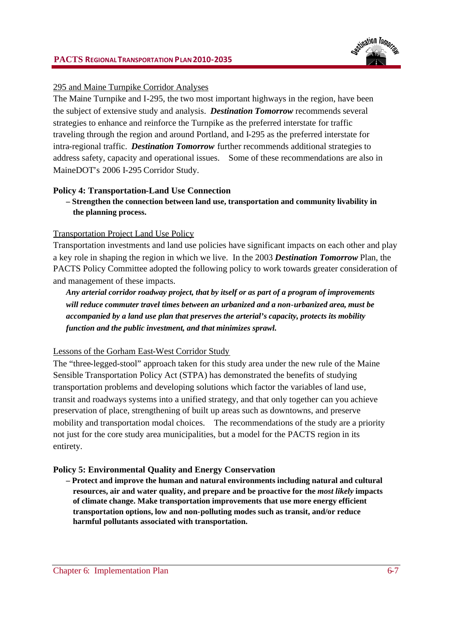#### **PACTS REGIONALTRANSPORTATION PLAN2010-2035**



#### 295 and Maine Turnpike Corridor Analyses

The Maine Turnpike and I-295, the two most important highways in the region, have been the subject of extensive study and analysis. *Destination Tomorrow* recommends several strategies to enhance and reinforce the Turnpike as the preferred interstate for traffic traveling through the region and around Portland, and I-295 as the preferred interstate for intra-regional traffic. *Destination Tomorrow* further recommends additional strategies to address safety, capacity and operational issues. Some of these recommendations are also in MaineDOT's 2006 I-295 Corridor Study.

#### **Policy 4: Transportation-Land Use Connection**

**– Strengthen the connection between land use, transportation and community livability in the planning process.**

#### Transportation Project Land Use Policy

Transportation investments and land use policies have significant impacts on each other and play a key role in shaping the region in which we live. In the 2003 *Destination Tomorrow* Plan, the PACTS Policy Committee adopted the following policy to work towards greater consideration of and management of these impacts.

*Any arterial corridor roadway project, that by itself or as part of a program of improvements will reduce commuter travel times between an urbanized and a non-urbanized area, must be accompanied by a land use plan that preserves the arterial's capacity, protects its mobility function and the public investment, and that minimizes sprawl.*

#### Lessons of the Gorham East-West Corridor Study

The "three-legged-stool" approach taken for this study area under the new rule of the Maine Sensible Transportation Policy Act (STPA) has demonstrated the benefits of studying transportation problems and developing solutions which factor the variables of land use, transit and roadways systems into a unified strategy, and that only together can you achieve preservation of place, strengthening of built up areas such as downtowns, and preserve mobility and transportation modal choices. The recommendations of the study are a priority not just for the core study area municipalities, but a model for the PACTS region in its entirety.

#### **Policy 5: Environmental Quality and Energy Conservation**

**– Protect and improve the human and natural environments including natural and cultural resources, air and water quality, and prepare and be proactive for the** *most likely* **impacts of climate change. Make transportation improvements that use more energy efficient transportation options, low and non-polluting modes such as transit, and/or reduce harmful pollutants associated with transportation.**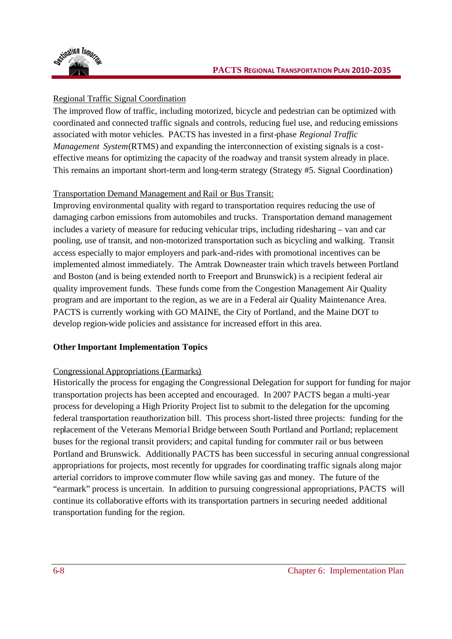

# Regional Traffic Signal Coordination

The improved flow of traffic, including motorized, bicycle and pedestrian can be optimized with coordinated and connected traffic signals and controls, reducing fuel use, and reducing emissions associated with motor vehicles. PACTS has invested in a first-phase *Regional Traffic Management System*(RTMS) and expanding the interconnection of existing signals is a costeffective means for optimizing the capacity of the roadway and transit system already in place. This remains an important short-term and long-term strategy (Strategy #5. Signal Coordination)

# Transportation Demand Management and Rail or Bus Transit:

Improving environmental quality with regard to transportation requires reducing the use of damaging carbon emissions from automobiles and trucks. Transportation demand management includes a variety of measure for reducing vehicular trips, including ridesharing – van and car pooling, use of transit, and non-motorized transportation such as bicycling and walking. Transit access especially to major employers and park-and-rides with promotional incentives can be implemented almost immediately. The Amtrak Downeaster train which travels between Portland and Boston (and is being extended north to Freeport and Brunswick) is a recipient federal air quality improvement funds. These funds come from the Congestion Management Air Quality program and are important to the region, as we are in a Federal air Quality Maintenance Area. PACTS is currently working with GO MAINE, the City of Portland, and the Maine DOT to develop region-wide policies and assistance for increased effort in this area.

# **Other Important Implementation Topics**

### Congressional Appropriations (Earmarks)

Historically the process for engaging the Congressional Delegation for support for funding for major transportation projects has been accepted and encouraged. In 2007 PACTS began a multi-year process for developing a High Priority Project list to submit to the delegation for the upcoming federal transportation reauthorization bill. This process short-listed three projects: funding for the replacement of the Veterans Memorial Bridge between South Portland and Portland; replacement buses for the regional transit providers; and capital funding for commuter rail or bus between Portland and Brunswick. Additionally PACTS has been successful in securing annual congressional appropriations for projects, most recently for upgrades for coordinating traffic signals along major arterial corridors to improve commuter flow while saving gas and money. The future of the "earmark" process is uncertain. In addition to pursuing congressional appropriations, PACTS will continue its collaborative efforts with its transportation partners in securing needed additional transportation funding for the region.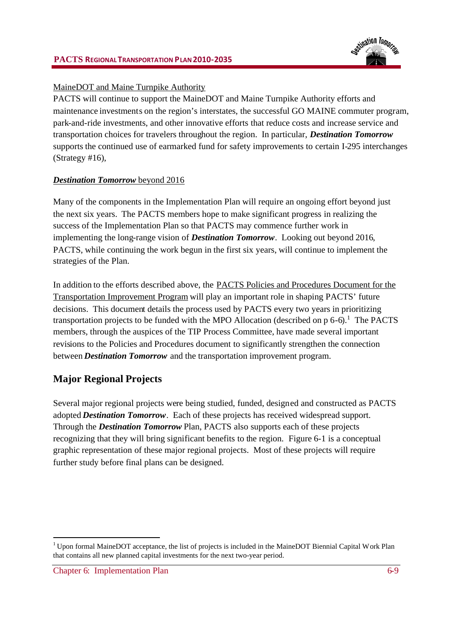

### MaineDOT and Maine Turnpike Authority

PACTS will continue to support the MaineDOT and Maine Turnpike Authority efforts and maintenance investments on the region's interstates, the successful GO MAINE commuter program, park-and-ride investments, and other innovative efforts that reduce costs and increase service and transportation choices for travelers throughout the region. In particular, *Destination Tomorrow* supports the continued use of earmarked fund for safety improvements to certain I-295 interchanges (Strategy #16),

### *Destination Tomorrow* beyond 2016

Many of the components in the Implementation Plan will require an ongoing effort beyond just the next six years. The PACTS members hope to make significant progress in realizing the success of the Implementation Plan so that PACTS may commence further work in implementing the long-range vision of *Destination Tomorrow*. Looking out beyond 2016, PACTS, while continuing the work begun in the first six years, will continue to implement the strategies of the Plan.

In addition to the efforts described above, the PACTS Policies and Procedures Document for the Transportation Improvement Program will play an important role in shaping PACTS' future decisions. This document details the process used by PACTS every two years in prioritizing transportation projects to be funded with the MPO Allocation (described on  $p\ 6-6$ ).<sup>1</sup> The PACTS members, through the auspices of the TIP Process Committee, have made several important revisions to the Policies and Procedures document to significantly strengthen the connection between *Destination Tomorrow* and the transportation improvement program.

# **Major Regional Projects**

Several major regional projects were being studied, funded, designed and constructed as PACTS adopted *Destination Tomorrow*. Each of these projects has received widespread support. Through the *Destination Tomorrow* Plan, PACTS also supports each of these projects recognizing that they will bring significant benefits to the region. Figure 6-1 is a conceptual graphic representation of these major regional projects. Most of these projects will require further study before final plans can be designed.

<sup>&</sup>lt;sup>1</sup> Upon formal MaineDOT acceptance, the list of projects is included in the MaineDOT Biennial Capital Work Plan that contains all new planned capital investments for the next two-year period.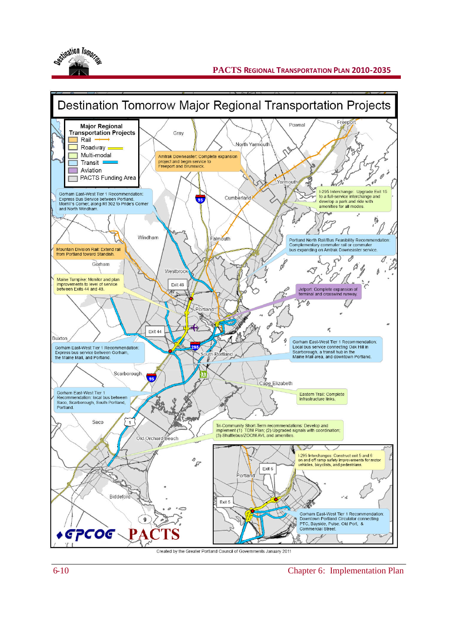